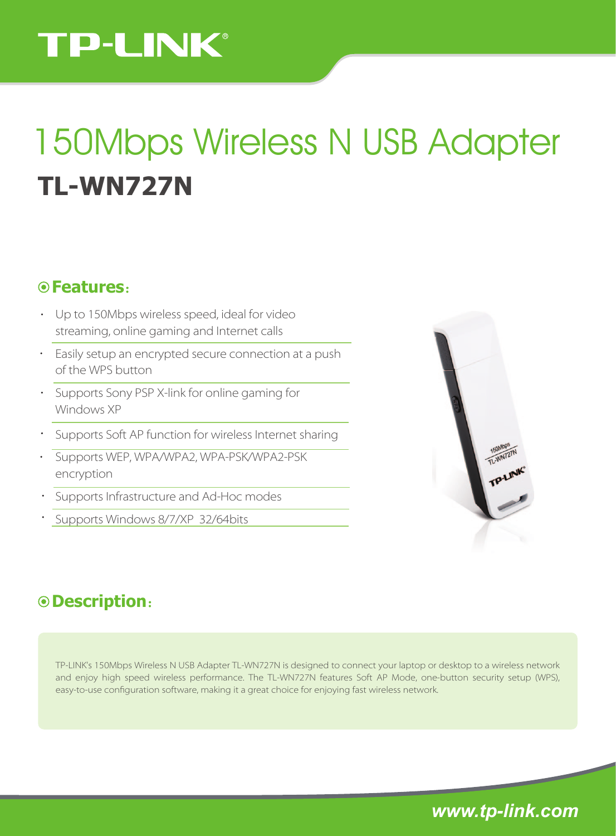# **TP-LINK®**

# **TL-WN727N** 150Mbps Wireless N USB Adapter

### **Features**:

- Up to 150Mbps wireless speed, ideal for video streaming, online gaming and Internet calls
- Easily setup an encrypted secure connection at a push of the WPS button
- Supports Sony PSP X-link for online gaming for Windows XP
- Supports Soft AP function for wireless Internet sharing
- Supports WEP, WPA/WPA2, WPA-PSK/WPA2-PSK encryption
- Supports Infrastructure and Ad-Hoc modes
- Supports Windows 8/7/XP 32/64bits



## **Description**:

TP-LINK's 150Mbps Wireless N USB Adapter TL-WN727N is designed to connect your laptop or desktop to a wireless network and enjoy high speed wireless performance. The TL-WN727N features Soft AP Mode, one-button security setup (WPS), easy-to-use configuration software, making it a great choice for enjoying fast wireless network.

*www.tp-link.com*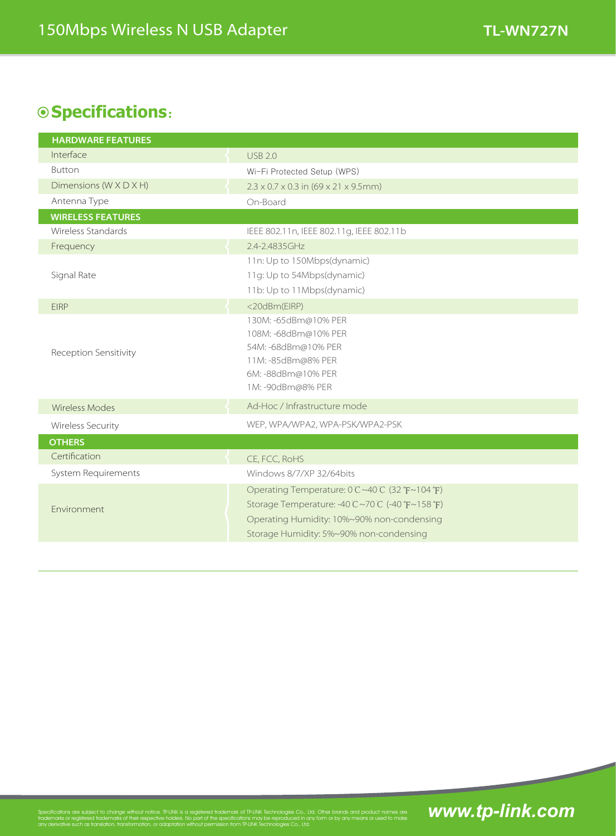## **Specifications**:

| <b>HARDWARE FEATURES</b> |                                                                                                                                                                                         |
|--------------------------|-----------------------------------------------------------------------------------------------------------------------------------------------------------------------------------------|
| Interface                | USB 2.0                                                                                                                                                                                 |
| <b>Button</b>            | Wi-Fi Protected Setup (WPS)                                                                                                                                                             |
| Dimensions (W X D X H)   | $2.3 \times 0.7 \times 0.3$ in (69 x 21 x 9.5mm)                                                                                                                                        |
| Antenna Type             | On-Board                                                                                                                                                                                |
| <b>WIRELESS FEATURES</b> |                                                                                                                                                                                         |
| Wireless Standards       | IEEE 802.11n, IEEE 802.11g, IEEE 802.11b                                                                                                                                                |
| Frequency                | 2.4-2.4835GHz                                                                                                                                                                           |
|                          | 11n: Up to 150Mbps(dynamic)                                                                                                                                                             |
| Signal Rate              | 11g: Up to 54Mbps(dynamic)                                                                                                                                                              |
|                          | 11b: Up to 11Mbps(dynamic)                                                                                                                                                              |
| <b>FIRP</b>              | <20dBm(EIRP)                                                                                                                                                                            |
| Reception Sensitivity    | 130M: -65dBm@10% PER<br>108M: -68dBm@10% PER<br>54M: -68dBm@10% PER<br>11M: -85dBm@8% PER<br>6M: -88dBm@10% PER<br>1M: -90dBm@8% PER                                                    |
| <b>Wireless Modes</b>    | Ad-Hoc / Infrastructure mode                                                                                                                                                            |
| Wireless Security        | WEP, WPA/WPA2, WPA-PSK/WPA2-PSK                                                                                                                                                         |
| <b>OTHERS</b>            |                                                                                                                                                                                         |
| Certification            | CE, FCC, RoHS                                                                                                                                                                           |
| System Requirements      | Windows 8/7/XP 32/64bits                                                                                                                                                                |
| Fnvironment              | Operating Temperature: 0°C~40°C (32°F~104°F)<br>Storage Temperature: -40°C ~70°C (-40°F~158°F)<br>Operating Humidity: 10%~90% non-condensing<br>Storage Humidity: 5%~90% non-condensing |

Specifications are subject to change without notice. TP-LINK is a registered trademark of TP-LINK Technologies Co., Ltd. Other brands and product names are<br>trademarks or registered trademarks of their respective holders. N